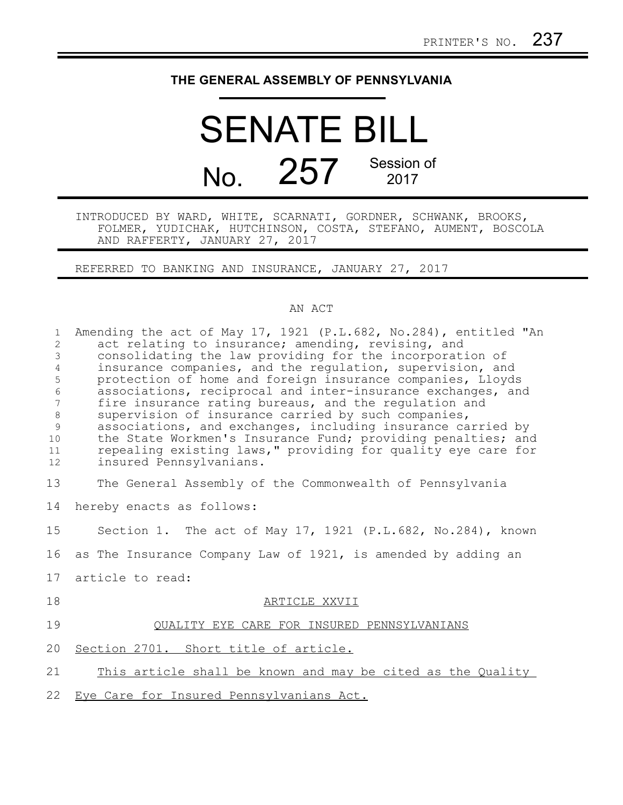## **THE GENERAL ASSEMBLY OF PENNSYLVANIA**

## SENATE BILL No. 257 Session of 2017

INTRODUCED BY WARD, WHITE, SCARNATI, GORDNER, SCHWANK, BROOKS, FOLMER, YUDICHAK, HUTCHINSON, COSTA, STEFANO, AUMENT, BOSCOLA AND RAFFERTY, JANUARY 27, 2017

REFERRED TO BANKING AND INSURANCE, JANUARY 27, 2017

## AN ACT

| $\mathbf{1}$<br>$\overline{2}$<br>$\mathfrak{Z}$<br>$\overline{4}$<br>5<br>$\sqrt{6}$<br>$\overline{7}$<br>$\,8\,$<br>9<br>10<br>11<br>12 | Amending the act of May 17, 1921 (P.L.682, No.284), entitled "An<br>act relating to insurance; amending, revising, and<br>consolidating the law providing for the incorporation of<br>insurance companies, and the regulation, supervision, and<br>protection of home and foreign insurance companies, Lloyds<br>associations, reciprocal and inter-insurance exchanges, and<br>fire insurance rating bureaus, and the regulation and<br>supervision of insurance carried by such companies,<br>associations, and exchanges, including insurance carried by<br>the State Workmen's Insurance Fund; providing penalties; and<br>repealing existing laws," providing for quality eye care for<br>insured Pennsylvanians. |
|-------------------------------------------------------------------------------------------------------------------------------------------|------------------------------------------------------------------------------------------------------------------------------------------------------------------------------------------------------------------------------------------------------------------------------------------------------------------------------------------------------------------------------------------------------------------------------------------------------------------------------------------------------------------------------------------------------------------------------------------------------------------------------------------------------------------------------------------------------------------------|
| 13                                                                                                                                        | The General Assembly of the Commonwealth of Pennsylvania                                                                                                                                                                                                                                                                                                                                                                                                                                                                                                                                                                                                                                                               |
| 14                                                                                                                                        | hereby enacts as follows:                                                                                                                                                                                                                                                                                                                                                                                                                                                                                                                                                                                                                                                                                              |
| 15                                                                                                                                        | Section 1. The act of May 17, 1921 (P.L.682, No.284), known                                                                                                                                                                                                                                                                                                                                                                                                                                                                                                                                                                                                                                                            |
| 16                                                                                                                                        | as The Insurance Company Law of 1921, is amended by adding an                                                                                                                                                                                                                                                                                                                                                                                                                                                                                                                                                                                                                                                          |
| 17                                                                                                                                        | article to read:                                                                                                                                                                                                                                                                                                                                                                                                                                                                                                                                                                                                                                                                                                       |
| 18                                                                                                                                        | ARTICLE XXVII                                                                                                                                                                                                                                                                                                                                                                                                                                                                                                                                                                                                                                                                                                          |
| 19                                                                                                                                        | QUALITY EYE CARE FOR INSURED PENNSYLVANIANS                                                                                                                                                                                                                                                                                                                                                                                                                                                                                                                                                                                                                                                                            |
| 20                                                                                                                                        | Section 2701. Short title of article.                                                                                                                                                                                                                                                                                                                                                                                                                                                                                                                                                                                                                                                                                  |
| 21                                                                                                                                        | This article shall be known and may be cited as the Quality                                                                                                                                                                                                                                                                                                                                                                                                                                                                                                                                                                                                                                                            |
| 22                                                                                                                                        | Eye Care for Insured Pennsylvanians Act.                                                                                                                                                                                                                                                                                                                                                                                                                                                                                                                                                                                                                                                                               |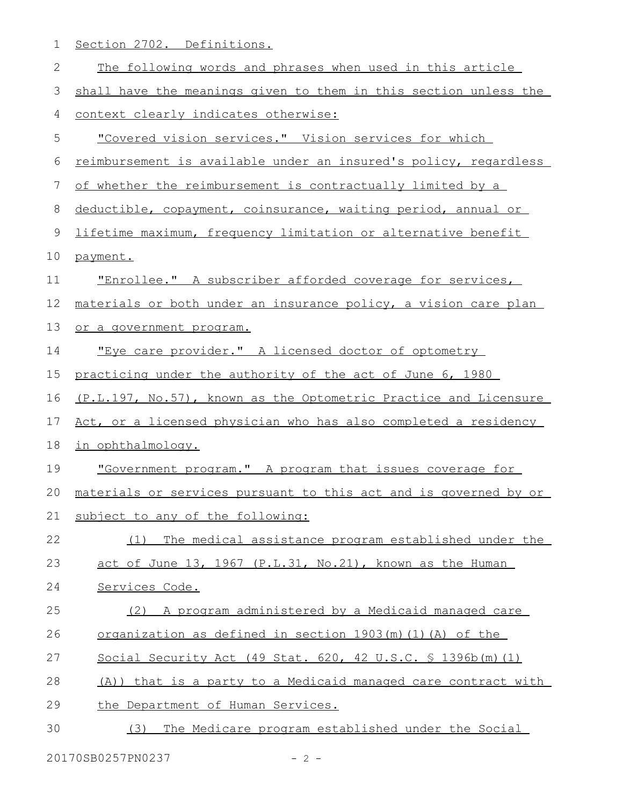1 Section 2702. Definitions.

| 2  | The following words and phrases when used in this article         |
|----|-------------------------------------------------------------------|
| 3  | shall have the meanings given to them in this section unless the  |
| 4  | context clearly indicates otherwise:                              |
| 5  | "Covered vision services." Vision services for which              |
| 6  | reimbursement is available under an insured's policy, regardless  |
| 7  | of whether the reimbursement is contractually limited by a        |
| 8  | deductible, copayment, coinsurance, waiting period, annual or     |
| 9  | lifetime maximum, frequency limitation or alternative benefit     |
| 10 | payment.                                                          |
| 11 | "Enrollee." A subscriber afforded coverage for services,          |
| 12 | materials or both under an insurance policy, a vision care plan   |
| 13 | or a government program.                                          |
| 14 | "Eye care provider." A licensed doctor of optometry               |
| 15 | practicing under the authority of the act of June 6, 1980         |
| 16 | (P.L.197, No.57), known as the Optometric Practice and Licensure  |
| 17 | Act, or a licensed physician who has also completed a residency   |
| 18 | in ophthalmology.                                                 |
| 19 | "Government program." A program that issues coverage for          |
| 20 | materials or services pursuant to this act and is governed by or  |
|    | 21 subject to any of the following:                               |
| 22 | The medical assistance program established under the<br>(1)       |
| 23 | act of June 13, 1967 (P.L.31, No.21), known as the Human          |
| 24 | Services Code.                                                    |
| 25 | A program administered by a Medicaid managed care<br>(2)          |
| 26 | organization as defined in section 1903(m)(1)(A) of the           |
| 27 | Social Security Act (49 Stat. 620, 42 U.S.C. $\frac{1396b(m)}{1}$ |
| 28 | (A)) that is a party to a Medicaid managed care contract with     |
| 29 | the Department of Human Services.                                 |
| 30 | The Medicare program established under the Social<br>(3)          |
|    |                                                                   |

20170SB0257PN0237 - 2 -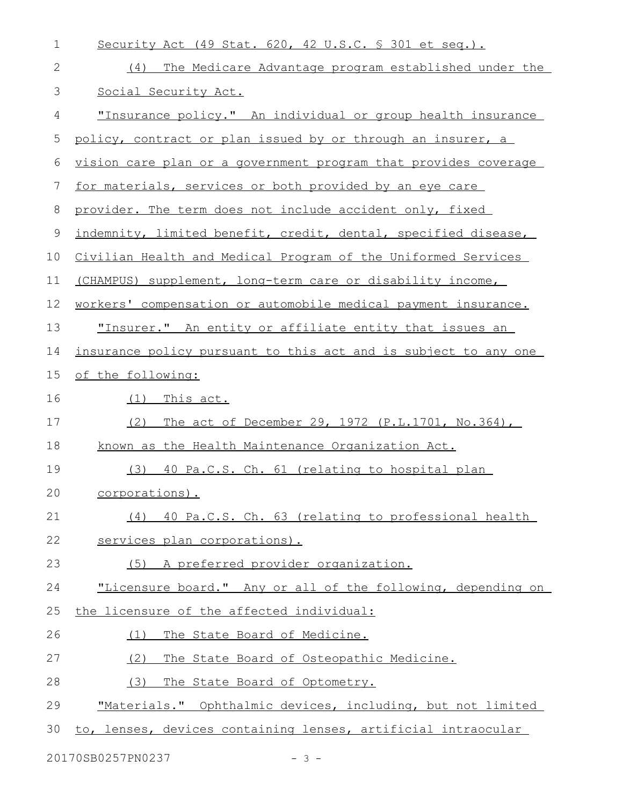| $\mathbf 1$ | Security Act (49 Stat. 620, 42 U.S.C. $\frac{1}{5}$ 301 et seq.).  |
|-------------|--------------------------------------------------------------------|
| 2           | (4)<br>The Medicare Advantage program established under the        |
| 3           | Social Security Act.                                               |
| 4           | <u>"Insurance policy." An individual or group health insurance</u> |
| 5           | policy, contract or plan issued by or through an insurer, a        |
| 6           | vision care plan or a government program that provides coverage    |
| 7           | for materials, services or both provided by an eye care            |
| 8           | provider. The term does not include accident only, fixed           |
| 9           | indemnity, limited benefit, credit, dental, specified disease,     |
| 10          | Civilian Health and Medical Program of the Uniformed Services      |
| 11          | (CHAMPUS) supplement, long-term care or disability income,         |
| 12          | workers' compensation or automobile medical payment insurance.     |
| 13          | <u>"Insurer." An entity or affiliate entity that issues an</u>     |
| 14          | insurance policy pursuant to this act and is subject to any one    |
| 15          | of the following:                                                  |
| 16          | $(1)$ This act.                                                    |
| 17          | The act of December 29, 1972 (P.L.1701, No.364),<br>(2)            |
| 18          | known as the Health Maintenance Organization Act.                  |
| 19          | (3) 40 Pa.C.S. Ch. 61 (relating to hospital plan                   |
| 20          | <u>corporations).</u>                                              |
| 21          | (4) 40 Pa.C.S. Ch. 63 (relating to professional health             |
| 22          | services plan corporations).                                       |
| 23          | (5) A preferred provider organization.                             |
| 24          | "Licensure board." Any or all of the following, depending on       |
| 25          | the licensure of the affected individual:                          |
| 26          | (1) The State Board of Medicine.                                   |
| 27          | (2)<br>The State Board of Osteopathic Medicine.                    |
| 28          | (3)<br>The State Board of Optometry.                               |
| 29          | "Materials." Ophthalmic devices, including, but not limited        |
| 30          | to, lenses, devices containing lenses, artificial intraocular      |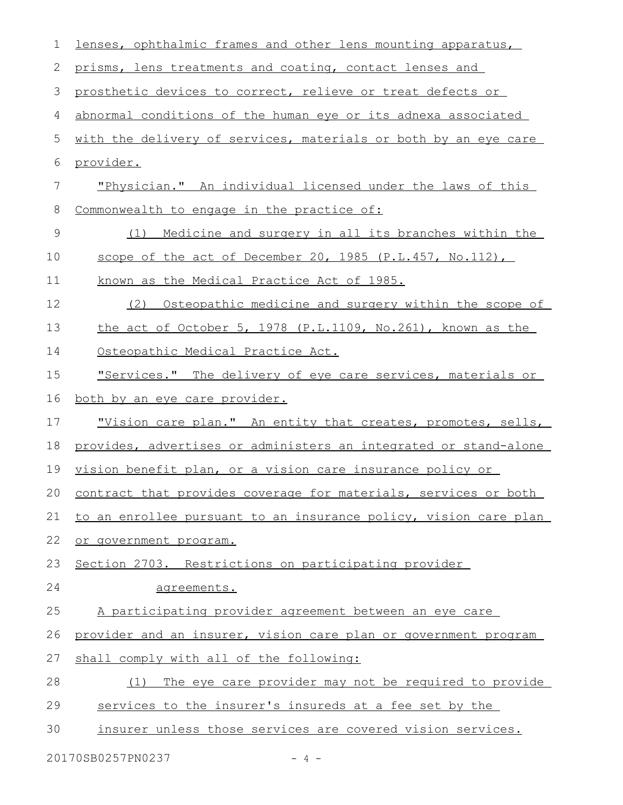| 1              | lenses, ophthalmic frames and other lens mounting apparatus,        |
|----------------|---------------------------------------------------------------------|
| 2              | prisms, lens treatments and coating, contact lenses and             |
| 3              | prosthetic devices to correct, relieve or treat defects or          |
| 4              | abnormal conditions of the human eye or its adnexa associated       |
| 5              | with the delivery of services, materials or both by an eye care     |
| 6              | provider.                                                           |
| $\overline{7}$ | "Physician." An individual licensed under the laws of this          |
| 8              | Commonwealth to engage in the practice of:                          |
| 9              | Medicine and surgery in all its branches within the<br>(1)          |
| 10             | scope of the act of December 20, 1985 (P.L.457, No.112),            |
| 11             | known as the Medical Practice Act of 1985.                          |
| 12             | Osteopathic medicine and surgery within the scope of<br>(2)         |
| 13             | the act of October 5, 1978 (P.L.1109, No.261), known as the         |
| 14             | Osteopathic Medical Practice Act.                                   |
| 15             | "Services." The delivery of eye care services, materials or         |
| 16             | <u>both by an eye care provider.</u>                                |
| 17             | <u>"Vision care plan." An entity that creates, promotes, sells,</u> |
| 18             | provides, advertises or administers an integrated or stand-alone    |
| 19             | vision benefit plan, or a vision care insurance policy or           |
| 20             | contract that provides coverage for materials, services or both     |
| 21             | to an enrollee pursuant to an insurance policy, vision care plan    |
| 22             | or government program.                                              |
| 23             | Section 2703. Restrictions on participating provider                |
| 24             | agreements.                                                         |
| 25             | A participating provider agreement between an eye care              |
| 26             | provider and an insurer, vision care plan or government program     |
| 27             | shall comply with all of the following:                             |
| 28             | The eye care provider may not be required to provide<br>(1)         |
| 29             | services to the insurer's insureds at a fee set by the              |
| 30             | insurer unless those services are covered vision services.          |
|                |                                                                     |

20170SB0257PN0237 - 4 -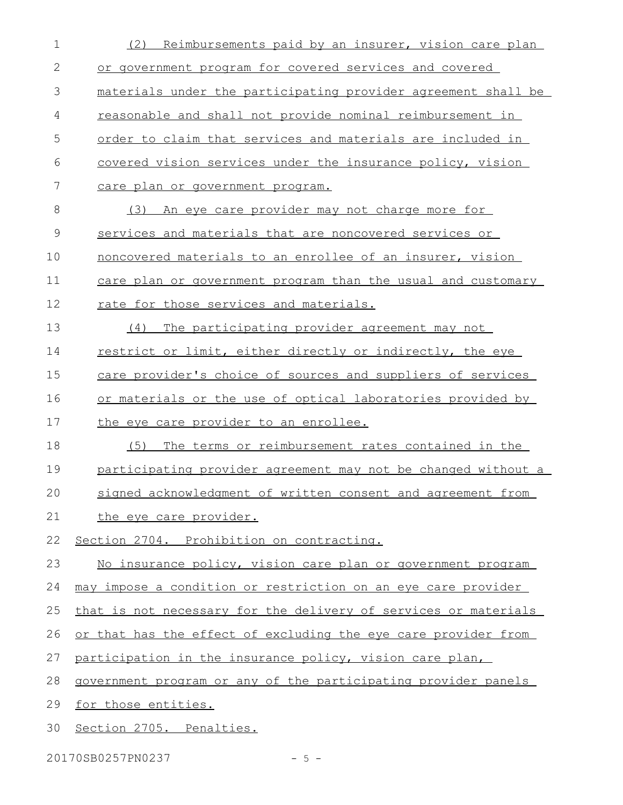| $\mathbf 1$   | (2)<br>Reimbursements paid by an insurer, vision care plan      |
|---------------|-----------------------------------------------------------------|
| $\mathbf{2}$  | or government program for covered services and covered          |
| 3             | materials under the participating provider agreement shall be   |
| 4             | reasonable and shall not provide nominal reimbursement in       |
| 5             | order to claim that services and materials are included in      |
| 6             | covered vision services under the insurance policy, vision      |
| 7             | <u>care plan or government program.</u>                         |
| 8             | An eye care provider may not charge more for<br>(3)             |
| $\mathcal{G}$ | services and materials that are noncovered services or          |
| 10            | noncovered materials to an enrollee of an insurer, vision       |
| 11            | care plan or government program than the usual and customary    |
| 12            | rate for those services and materials.                          |
| 13            | The participating provider agreement may not<br>(4)             |
| 14            | restrict or limit, either directly or indirectly, the eye       |
| 15            | care provider's choice of sources and suppliers of services     |
| 16            | or materials or the use of optical laboratories provided by     |
| 17            | the eye care provider to an enrollee.                           |
| 18            | (5) The terms or reimbursement rates contained in the           |
|               |                                                                 |
| 19            | participating provider agreement may not be changed without a   |
| 20            | signed acknowledgment of written consent and agreement from     |
| 21            | the eye care provider.                                          |
| 22            | Section 2704. Prohibition on contracting.                       |
| 23            | No insurance policy, vision care plan or government program     |
| 24            | may impose a condition or restriction on an eye care provider   |
| 25            | that is not necessary for the delivery of services or materials |
| 26            | or that has the effect of excluding the eye care provider from  |
| 27            | participation in the insurance policy, vision care plan,        |
| 28            | government program or any of the participating provider panels  |
| 29            | for those entities.                                             |

20170SB0257PN0237 - 5 -